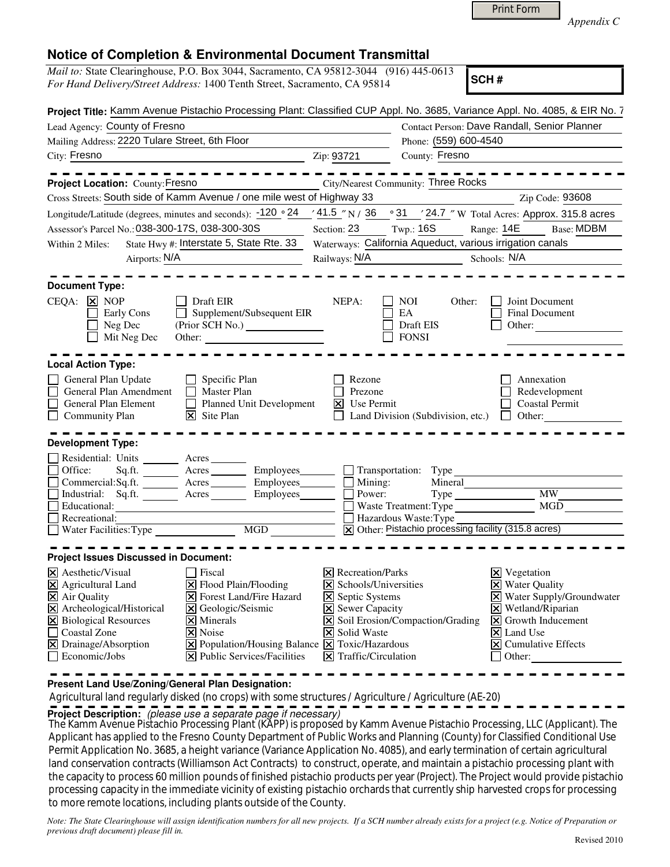| <b>Print Form</b> |
|-------------------|
|-------------------|

*Appendix C* 

|  | <b>Notice of Completion &amp; Environmental Document Transmittal</b> |  |  |
|--|----------------------------------------------------------------------|--|--|
|--|----------------------------------------------------------------------|--|--|

|                                                                                                                                                                                                                  | For Hand Delivery/Street Address: 1400 Tenth Street, Sacramento, CA 95814                                                                                                                                                                                                | <i>Mail to:</i> State Clearinghouse, P.O. Box 3044, Sacramento, CA 95812-3044 (916) 445-0613                                                                                                                                   | SCH#                                                                                                                                                                                                                             |
|------------------------------------------------------------------------------------------------------------------------------------------------------------------------------------------------------------------|--------------------------------------------------------------------------------------------------------------------------------------------------------------------------------------------------------------------------------------------------------------------------|--------------------------------------------------------------------------------------------------------------------------------------------------------------------------------------------------------------------------------|----------------------------------------------------------------------------------------------------------------------------------------------------------------------------------------------------------------------------------|
|                                                                                                                                                                                                                  |                                                                                                                                                                                                                                                                          |                                                                                                                                                                                                                                | Project Title: Kamm Avenue Pistachio Processing Plant: Classified CUP Appl. No. 3685, Variance Appl. No. 4085, & EIR No. 7                                                                                                       |
| Lead Agency: County of Fresno                                                                                                                                                                                    |                                                                                                                                                                                                                                                                          |                                                                                                                                                                                                                                | Contact Person: Dave Randall, Senior Planner                                                                                                                                                                                     |
| Mailing Address: 2220 Tulare Street, 6th Floor                                                                                                                                                                   |                                                                                                                                                                                                                                                                          | Phone: (559) 600-4540                                                                                                                                                                                                          |                                                                                                                                                                                                                                  |
| City: Fresno                                                                                                                                                                                                     |                                                                                                                                                                                                                                                                          | County: Fresno<br>Zip: 93721                                                                                                                                                                                                   |                                                                                                                                                                                                                                  |
| Project Location: County: Fresno                                                                                                                                                                                 | $- - - - - - - -$                                                                                                                                                                                                                                                        | City/Nearest Community: Three Rocks                                                                                                                                                                                            |                                                                                                                                                                                                                                  |
|                                                                                                                                                                                                                  | Cross Streets: South side of Kamm Avenue / one mile west of Highway 33                                                                                                                                                                                                   |                                                                                                                                                                                                                                | Zip Code: 93608                                                                                                                                                                                                                  |
|                                                                                                                                                                                                                  |                                                                                                                                                                                                                                                                          |                                                                                                                                                                                                                                | Longitude/Latitude (degrees, minutes and seconds): $-120\degree 24$ / $41.5\degree$ N / 36 $\degree$ 31 / 24.7 $\degree$ W Total Acres: Approx. 315.8 acres                                                                      |
| Assessor's Parcel No.: 038-300-17S, 038-300-30S                                                                                                                                                                  |                                                                                                                                                                                                                                                                          | Twp.: 16S<br>Section: 23                                                                                                                                                                                                       | Range: 14E<br>Base: MDBM                                                                                                                                                                                                         |
| Within 2 Miles:                                                                                                                                                                                                  | State $Hwy #$ : Interstate 5, State Rte. 33                                                                                                                                                                                                                              | Waterways: California Aqueduct, various irrigation canals                                                                                                                                                                      |                                                                                                                                                                                                                                  |
| Airports: N/A                                                                                                                                                                                                    |                                                                                                                                                                                                                                                                          | Railways: $N/A$                                                                                                                                                                                                                | Schools: N/A                                                                                                                                                                                                                     |
|                                                                                                                                                                                                                  |                                                                                                                                                                                                                                                                          |                                                                                                                                                                                                                                |                                                                                                                                                                                                                                  |
| <b>Document Type:</b>                                                                                                                                                                                            |                                                                                                                                                                                                                                                                          |                                                                                                                                                                                                                                |                                                                                                                                                                                                                                  |
| CEQA: X NOP<br>Early Cons<br>Neg Dec<br>Mit Neg Dec                                                                                                                                                              | Draft EIR<br>Supplement/Subsequent EIR<br>$\perp$<br>Other:                                                                                                                                                                                                              | NEPA:<br><b>NOI</b><br>Other:<br>EA<br>Draft EIS<br><b>FONSI</b>                                                                                                                                                               | Joint Document<br>Final Document<br>Other:                                                                                                                                                                                       |
| <b>Local Action Type:</b>                                                                                                                                                                                        |                                                                                                                                                                                                                                                                          |                                                                                                                                                                                                                                |                                                                                                                                                                                                                                  |
| General Plan Update<br>General Plan Amendment<br>General Plan Element<br><b>Community Plan</b>                                                                                                                   | Specific Plan<br>П<br>Master Plan<br>Planned Unit Development<br>$\perp$<br>$\overline{\mathsf{x}}$ Site Plan                                                                                                                                                            | Rezone<br>Prezone<br>$\overline{\mathsf{X}}$ Use Permit<br>Land Division (Subdivision, etc.)                                                                                                                                   | Annexation<br>Redevelopment<br>Coastal Permit<br>Other: $\qquad \qquad$                                                                                                                                                          |
| <b>Development Type:</b>                                                                                                                                                                                         |                                                                                                                                                                                                                                                                          |                                                                                                                                                                                                                                |                                                                                                                                                                                                                                  |
| Residential: Units ________ Acres ______<br>Office:<br>Sq.ft.<br>Commercial:Sq.ft.<br>Industrial: Sq.ft.<br>Educational:<br>Recreational:<br>Water Facilities: Type                                              | Acres Employees Transportation:<br>Acres Employees<br>$\text{Acres}$ <sub>_________</sub><br>Employees<br>MGD                                                                                                                                                            | Type<br>Mining:<br>Mineral<br>Power:<br>Waste Treatment: Type<br>Hazardous Waste: Type<br>X Other: Pistachio processing facility (315.8 acres)                                                                                 | <b>MW</b><br>MGD                                                                                                                                                                                                                 |
| <b>Project Issues Discussed in Document:</b>                                                                                                                                                                     |                                                                                                                                                                                                                                                                          |                                                                                                                                                                                                                                |                                                                                                                                                                                                                                  |
| $\times$ Aesthetic/Visual<br>X Agricultural Land<br>$\overline{\mathsf{X}}$ Air Quality<br>X Archeological/Historical<br>X Biological Resources<br><b>Coastal Zone</b><br>X Drainage/Absorption<br>Economic/Jobs | Fiscal<br>Flood Plain/Flooding<br>$\mathbf{\mathsf{x}}$<br><b>X</b> Forest Land/Fire Hazard<br>X Geologic/Seismic<br>$\overline{\mathsf{x}}$ Minerals<br>X Noise<br>$\boxed{\mathbf{X}}$ Population/Housing Balance $\boxed{\mathbf{X}}$<br>X Public Services/Facilities | $\boxtimes$ Recreation/Parks<br>Schools/Universities<br>Ι×Ι<br><b>X</b> Septic Systems<br><b>X</b> Sewer Capacity<br>X Soil Erosion/Compaction/Grading<br><b>X</b> Solid Waste<br>Toxic/Hazardous<br>$\Xi$ Traffic/Circulation | $\times$ Vegetation<br><b>X</b> Water Quality<br>X Water Supply/Groundwater<br>X Wetland/Riparian<br>$\vert \overline{\mathsf{x}} \vert$ Growth Inducement<br>$\overline{\mathsf{x}}$ Land Use<br>X Cumulative Effects<br>Other: |

**Present Land Use/Zoning/General Plan Designation:**

Agricultural land regularly disked (no crops) with some structures / Agriculture / Agriculture (AE-20)

**Project Description:** (please use a separate page if necessary)

 The Kamm Avenue Pistachio Processing Plant (KAPP) is proposed by Kamm Avenue Pistachio Processing, LLC (Applicant). The Applicant has applied to the Fresno County Department of Public Works and Planning (County) for Classified Conditional Use Permit Application No. 3685, a height variance (Variance Application No. 4085), and early termination of certain agricultural land conservation contracts (Williamson Act Contracts) to construct, operate, and maintain a pistachio processing plant with the capacity to process 60 million pounds of finished pistachio products per year (Project). The Project would provide pistachio processing capacity in the immediate vicinity of existing pistachio orchards that currently ship harvested crops for processing to more remote locations, including plants outside of the County.

*Note: The State Clearinghouse will assign identification numbers for all new projects. If a SCH number already exists for a project (e.g. Notice of Preparation or previous draft document) please fill in.*